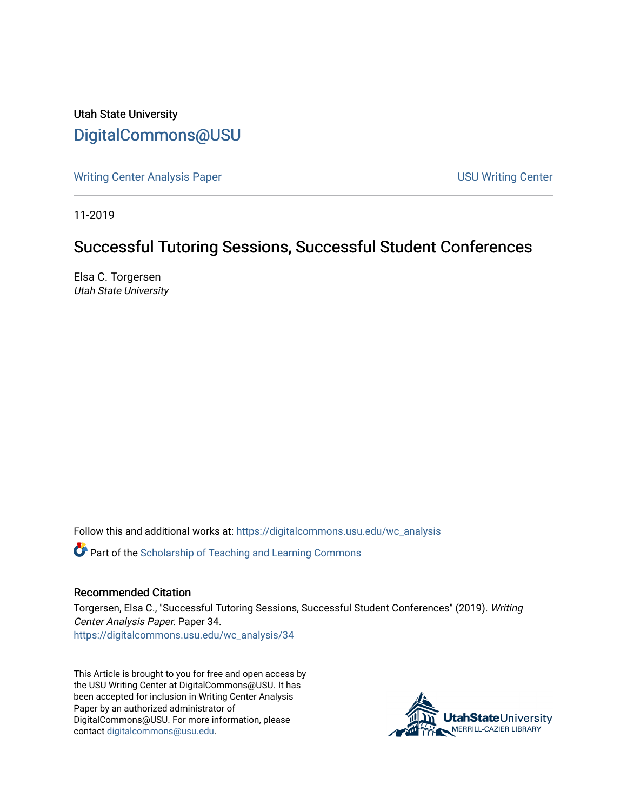Utah State University [DigitalCommons@USU](https://digitalcommons.usu.edu/)

[Writing Center Analysis Paper](https://digitalcommons.usu.edu/wc_analysis) National Communication of the USU Writing Center

11-2019

## Successful Tutoring Sessions, Successful Student Conferences

Elsa C. Torgersen Utah State University

Follow this and additional works at: [https://digitalcommons.usu.edu/wc\\_analysis](https://digitalcommons.usu.edu/wc_analysis?utm_source=digitalcommons.usu.edu%2Fwc_analysis%2F34&utm_medium=PDF&utm_campaign=PDFCoverPages) 

Part of the [Scholarship of Teaching and Learning Commons](http://network.bepress.com/hgg/discipline/1328?utm_source=digitalcommons.usu.edu%2Fwc_analysis%2F34&utm_medium=PDF&utm_campaign=PDFCoverPages) 

## Recommended Citation

Torgersen, Elsa C., "Successful Tutoring Sessions, Successful Student Conferences" (2019). Writing Center Analysis Paper. Paper 34. [https://digitalcommons.usu.edu/wc\\_analysis/34](https://digitalcommons.usu.edu/wc_analysis/34?utm_source=digitalcommons.usu.edu%2Fwc_analysis%2F34&utm_medium=PDF&utm_campaign=PDFCoverPages)

This Article is brought to you for free and open access by the USU Writing Center at DigitalCommons@USU. It has been accepted for inclusion in Writing Center Analysis Paper by an authorized administrator of DigitalCommons@USU. For more information, please contact [digitalcommons@usu.edu](mailto:digitalcommons@usu.edu).

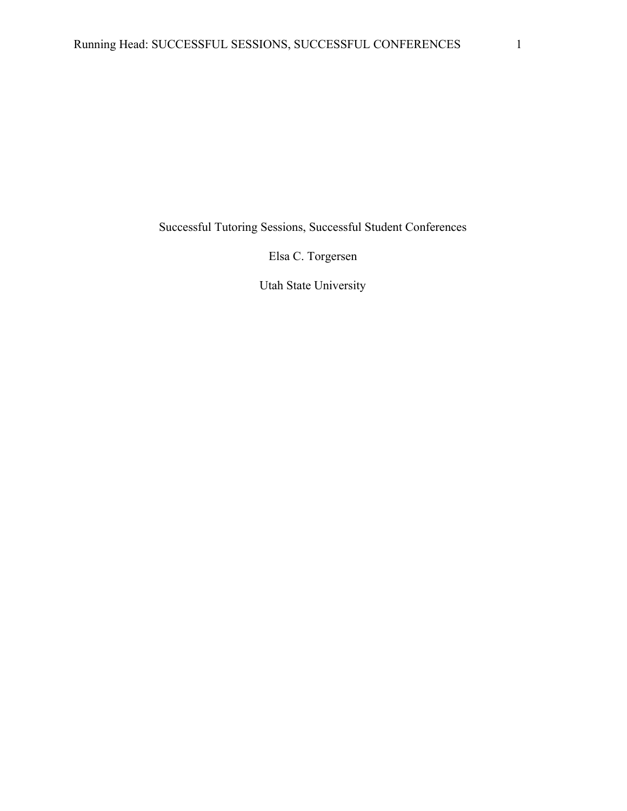Successful Tutoring Sessions, Successful Student Conferences

Elsa C. Torgersen

Utah State University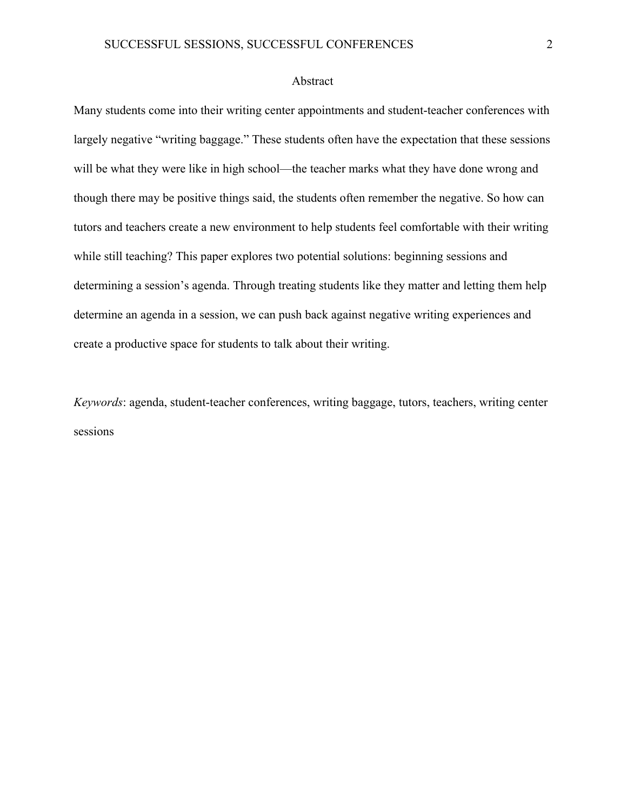## Abstract

Many students come into their writing center appointments and student-teacher conferences with largely negative "writing baggage." These students often have the expectation that these sessions will be what they were like in high school—the teacher marks what they have done wrong and though there may be positive things said, the students often remember the negative. So how can tutors and teachers create a new environment to help students feel comfortable with their writing while still teaching? This paper explores two potential solutions: beginning sessions and determining a session's agenda. Through treating students like they matter and letting them help determine an agenda in a session, we can push back against negative writing experiences and create a productive space for students to talk about their writing.

*Keywords*: agenda, student-teacher conferences, writing baggage, tutors, teachers, writing center sessions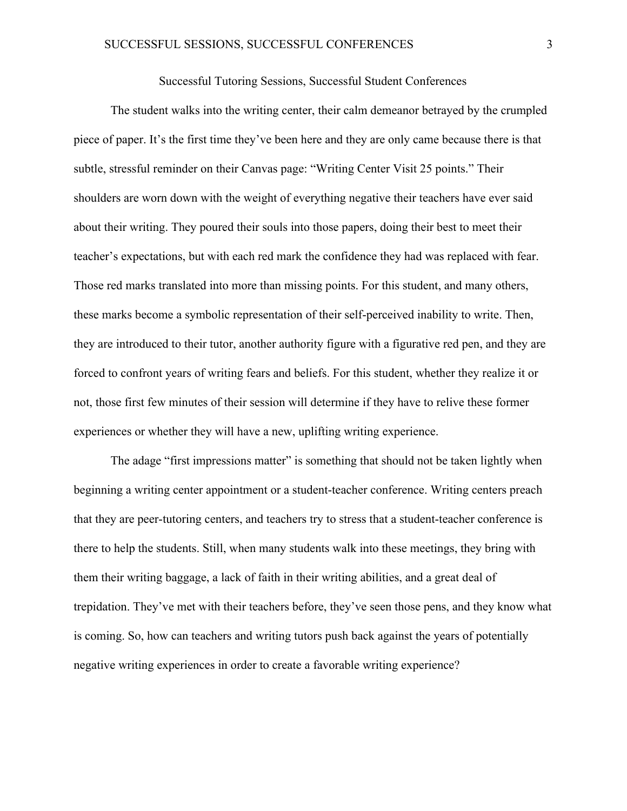## Successful Tutoring Sessions, Successful Student Conferences

The student walks into the writing center, their calm demeanor betrayed by the crumpled piece of paper. It's the first time they've been here and they are only came because there is that subtle, stressful reminder on their Canvas page: "Writing Center Visit 25 points." Their shoulders are worn down with the weight of everything negative their teachers have ever said about their writing. They poured their souls into those papers, doing their best to meet their teacher's expectations, but with each red mark the confidence they had was replaced with fear. Those red marks translated into more than missing points. For this student, and many others, these marks become a symbolic representation of their self-perceived inability to write. Then, they are introduced to their tutor, another authority figure with a figurative red pen, and they are forced to confront years of writing fears and beliefs. For this student, whether they realize it or not, those first few minutes of their session will determine if they have to relive these former experiences or whether they will have a new, uplifting writing experience.

The adage "first impressions matter" is something that should not be taken lightly when beginning a writing center appointment or a student-teacher conference. Writing centers preach that they are peer-tutoring centers, and teachers try to stress that a student-teacher conference is there to help the students. Still, when many students walk into these meetings, they bring with them their writing baggage, a lack of faith in their writing abilities, and a great deal of trepidation. They've met with their teachers before, they've seen those pens, and they know what is coming. So, how can teachers and writing tutors push back against the years of potentially negative writing experiences in order to create a favorable writing experience?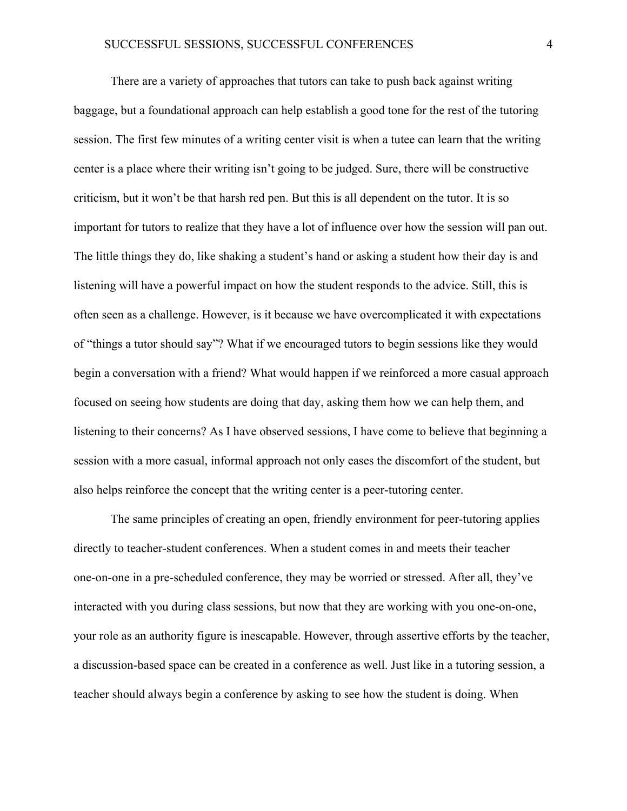There are a variety of approaches that tutors can take to push back against writing baggage, but a foundational approach can help establish a good tone for the rest of the tutoring session. The first few minutes of a writing center visit is when a tutee can learn that the writing center is a place where their writing isn't going to be judged. Sure, there will be constructive criticism, but it won't be that harsh red pen. But this is all dependent on the tutor. It is so important for tutors to realize that they have a lot of influence over how the session will pan out. The little things they do, like shaking a student's hand or asking a student how their day is and listening will have a powerful impact on how the student responds to the advice. Still, this is often seen as a challenge. However, is it because we have overcomplicated it with expectations of "things a tutor should say"? What if we encouraged tutors to begin sessions like they would begin a conversation with a friend? What would happen if we reinforced a more casual approach focused on seeing how students are doing that day, asking them how we can help them, and listening to their concerns? As I have observed sessions, I have come to believe that beginning a session with a more casual, informal approach not only eases the discomfort of the student, but also helps reinforce the concept that the writing center is a peer-tutoring center.

The same principles of creating an open, friendly environment for peer-tutoring applies directly to teacher-student conferences. When a student comes in and meets their teacher one-on-one in a pre-scheduled conference, they may be worried or stressed. After all, they've interacted with you during class sessions, but now that they are working with you one-on-one, your role as an authority figure is inescapable. However, through assertive efforts by the teacher, a discussion-based space can be created in a conference as well. Just like in a tutoring session, a teacher should always begin a conference by asking to see how the student is doing. When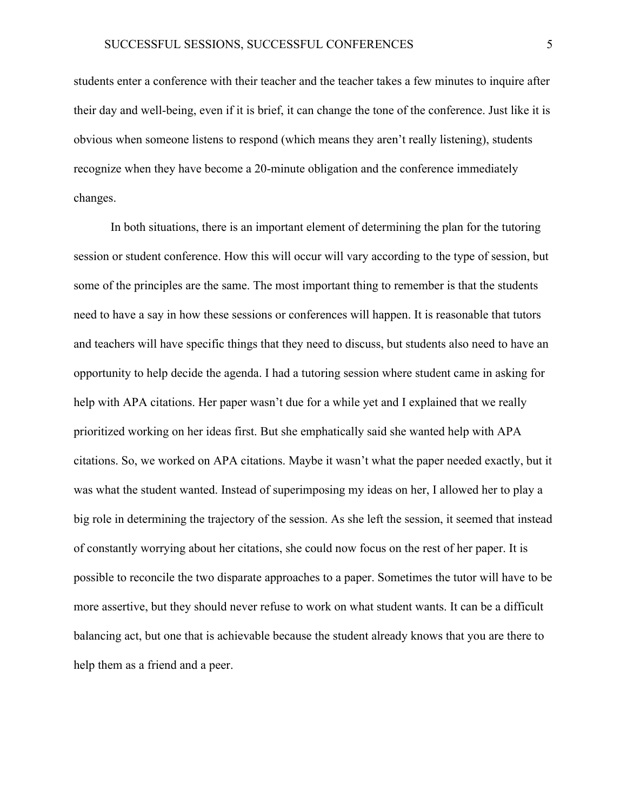students enter a conference with their teacher and the teacher takes a few minutes to inquire after their day and well-being, even if it is brief, it can change the tone of the conference. Just like it is obvious when someone listens to respond (which means they aren't really listening), students recognize when they have become a 20-minute obligation and the conference immediately changes.

In both situations, there is an important element of determining the plan for the tutoring session or student conference. How this will occur will vary according to the type of session, but some of the principles are the same. The most important thing to remember is that the students need to have a say in how these sessions or conferences will happen. It is reasonable that tutors and teachers will have specific things that they need to discuss, but students also need to have an opportunity to help decide the agenda. I had a tutoring session where student came in asking for help with APA citations. Her paper wasn't due for a while yet and I explained that we really prioritized working on her ideas first. But she emphatically said she wanted help with APA citations. So, we worked on APA citations. Maybe it wasn't what the paper needed exactly, but it was what the student wanted. Instead of superimposing my ideas on her, I allowed her to play a big role in determining the trajectory of the session. As she left the session, it seemed that instead of constantly worrying about her citations, she could now focus on the rest of her paper. It is possible to reconcile the two disparate approaches to a paper. Sometimes the tutor will have to be more assertive, but they should never refuse to work on what student wants. It can be a difficult balancing act, but one that is achievable because the student already knows that you are there to help them as a friend and a peer.